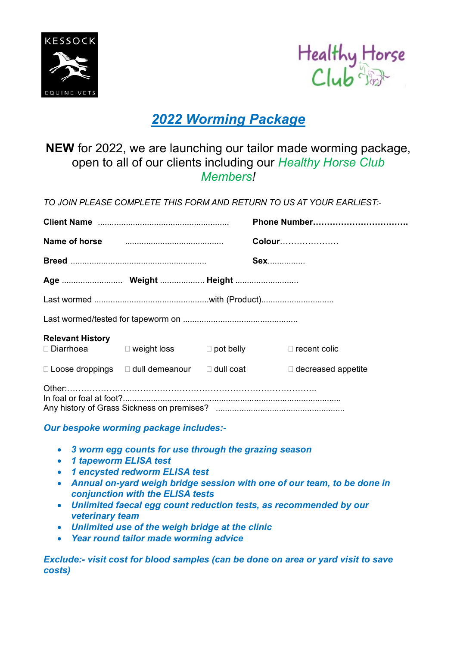



## *2022 Worming Package*

## **NEW** for 2022, we are launching our tailor made worming package, open to all of our clients including our *Healthy Horse Club Members!*

*TO JOIN PLEASE COMPLETE THIS FORM AND RETURN TO US AT YOUR EARLIEST:-*

|                         |                                                               |  | Phone Number                                           |  |
|-------------------------|---------------------------------------------------------------|--|--------------------------------------------------------|--|
|                         | Name of horse <b>manufactures Name of horse</b>               |  | <b>Colour</b>                                          |  |
|                         |                                                               |  | <b>Sex</b>                                             |  |
|                         |                                                               |  |                                                        |  |
|                         |                                                               |  |                                                        |  |
|                         |                                                               |  |                                                        |  |
| <b>Relevant History</b> |                                                               |  | □ Diarrhoea  □ weight loss  □ pot belly □ recent colic |  |
|                         | $\Box$ Loose droppings $\Box$ dull demeanour $\Box$ dull coat |  | $\Box$ decreased appetite                              |  |
|                         |                                                               |  |                                                        |  |

## *Our bespoke worming package includes:-*

- *3 worm egg counts for use through the grazing season*
- *1 tapeworm ELISA test*
- *1 encysted redworm ELISA test*
- *Annual on-yard weigh bridge session with one of our team, to be done in conjunction with the ELISA tests*
- *Unlimited faecal egg count reduction tests, as recommended by our veterinary team*
- *Unlimited use of the weigh bridge at the clinic*
- *Year round tailor made worming advice*

*Exclude:- visit cost for blood samples (can be done on area or yard visit to save costs)*